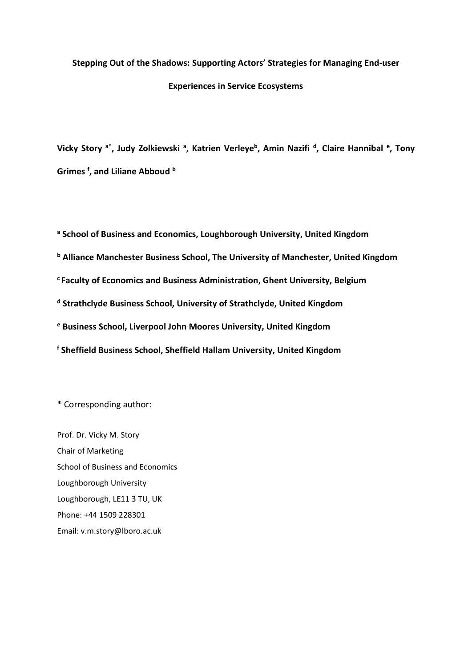## **Stepping Out of the Shadows: Supporting Actors' Strategies for Managing End-user Experiences in Service Ecosystems**

**Vicky Story a\*, Judy Zolkiewski <sup>a</sup> , Katrien Verleye<sup>b</sup> , Amin Nazifi <sup>d</sup> , Claire Hannibal <sup>e</sup> , Tony Grimes <sup>f</sup> , and Liliane Abboud <sup>b</sup>**

**<sup>a</sup> School of Business and Economics, Loughborough University, United Kingdom <sup>b</sup> Alliance Manchester Business School, The University of Manchester, United Kingdom <sup>c</sup>Faculty of Economics and Business Administration, Ghent University, Belgium <sup>d</sup> Strathclyde Business School, University of Strathclyde, United Kingdom <sup>e</sup> Business School, Liverpool John Moores University, United Kingdom <sup>f</sup> Sheffield Business School, Sheffield Hallam University, United Kingdom**

\* Corresponding author:

Prof. Dr. Vicky M. Story Chair of Marketing School of Business and Economics Loughborough University Loughborough, LE11 3 TU, UK Phone: +44 1509 228301 Email: v.m.story@lboro.ac.uk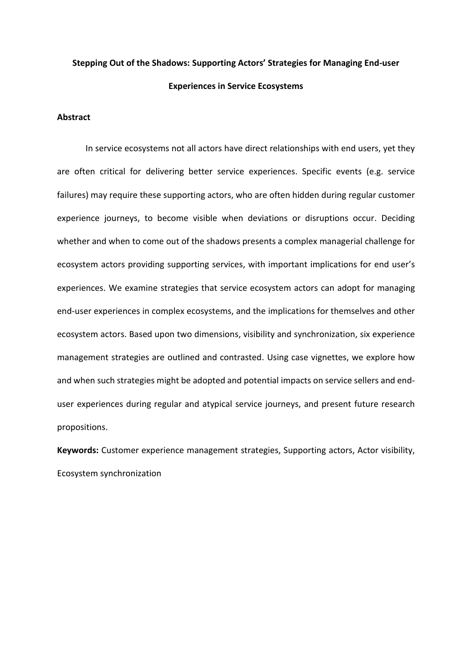# **Stepping Out of the Shadows: Supporting Actors' Strategies for Managing End-user Experiences in Service Ecosystems**

## **Abstract**

In service ecosystems not all actors have direct relationships with end users, yet they are often critical for delivering better service experiences. Specific events (e.g. service failures) may require these supporting actors, who are often hidden during regular customer experience journeys, to become visible when deviations or disruptions occur. Deciding whether and when to come out of the shadows presents a complex managerial challenge for ecosystem actors providing supporting services, with important implications for end user's experiences. We examine strategies that service ecosystem actors can adopt for managing end-user experiences in complex ecosystems, and the implications for themselves and other ecosystem actors. Based upon two dimensions, visibility and synchronization, six experience management strategies are outlined and contrasted. Using case vignettes, we explore how and when such strategies might be adopted and potential impacts on service sellers and enduser experiences during regular and atypical service journeys, and present future research propositions.

**Keywords:** Customer experience management strategies, Supporting actors, Actor visibility, Ecosystem synchronization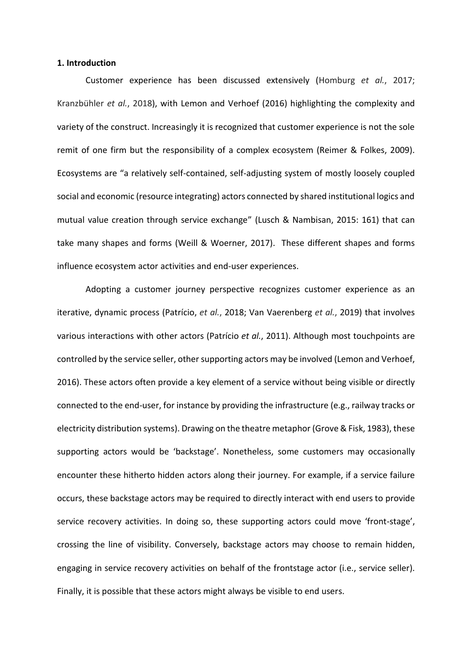## **1. Introduction**

Customer experience has been discussed extensively (Homburg *et al.*, 2017; Kranzbühler *et al.*, 2018), with Lemon and Verhoef (2016) highlighting the complexity and variety of the construct. Increasingly it is recognized that customer experience is not the sole remit of one firm but the responsibility of a complex ecosystem (Reimer & Folkes, 2009). Ecosystems are "a relatively self-contained, self-adjusting system of mostly loosely coupled social and economic (resource integrating) actors connected by shared institutional logics and mutual value creation through service exchange" (Lusch & Nambisan, 2015: 161) that can take many shapes and forms (Weill & Woerner, 2017). These different shapes and forms influence ecosystem actor activities and end-user experiences.

Adopting a customer journey perspective recognizes customer experience as an iterative, dynamic process (Patrício, *et al.*, 2018; Van Vaerenberg *et al.*, 2019) that involves various interactions with other actors (Patrício *et al.*, 2011). Although most touchpoints are controlled by the service seller, other supporting actors may be involved (Lemon and Verhoef, 2016). These actors often provide a key element of a service without being visible or directly connected to the end-user, for instance by providing the infrastructure (e.g., railway tracks or electricity distribution systems). Drawing on the theatre metaphor (Grove & Fisk, 1983), these supporting actors would be 'backstage'. Nonetheless, some customers may occasionally encounter these hitherto hidden actors along their journey. For example, if a service failure occurs, these backstage actors may be required to directly interact with end users to provide service recovery activities. In doing so, these supporting actors could move 'front-stage', crossing the line of visibility. Conversely, backstage actors may choose to remain hidden, engaging in service recovery activities on behalf of the frontstage actor (i.e., service seller). Finally, it is possible that these actors might always be visible to end users.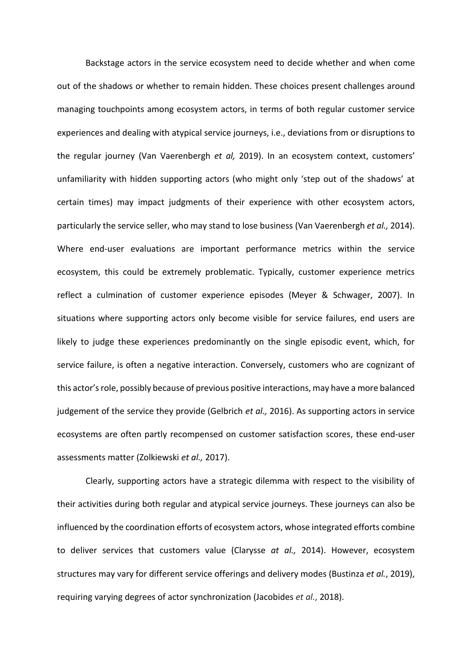Backstage actors in the service ecosystem need to decide whether and when come out of the shadows or whether to remain hidden. These choices present challenges around managing touchpoints among ecosystem actors, in terms of both regular customer service experiences and dealing with atypical service journeys, i.e., deviations from or disruptions to the regular journey (Van Vaerenbergh *et al,* 2019). In an ecosystem context, customers' unfamiliarity with hidden supporting actors (who might only 'step out of the shadows' at certain times) may impact judgments of their experience with other ecosystem actors, particularly the service seller, who may stand to lose business (Van Vaerenbergh *et al.,* 2014). Where end-user evaluations are important performance metrics within the service ecosystem, this could be extremely problematic. Typically, customer experience metrics reflect a culmination of customer experience episodes (Meyer & Schwager, 2007). In situations where supporting actors only become visible for service failures, end users are likely to judge these experiences predominantly on the single episodic event, which, for service failure, is often a negative interaction. Conversely, customers who are cognizant of this actor's role, possibly because of previous positive interactions, may have a more balanced judgement of the service they provide (Gelbrich *et al.,* 2016). As supporting actors in service ecosystems are often partly recompensed on customer satisfaction scores, these end-user assessments matter (Zolkiewski *et al.,* 2017).

Clearly, supporting actors have a strategic dilemma with respect to the visibility of their activities during both regular and atypical service journeys. These journeys can also be influenced by the coordination efforts of ecosystem actors, whose integrated efforts combine to deliver services that customers value (Clarysse *at al.,* 2014). However, ecosystem structures may vary for different service offerings and delivery modes (Bustinza *et al.*, 2019), requiring varying degrees of actor synchronization (Jacobides *et al.*, 2018).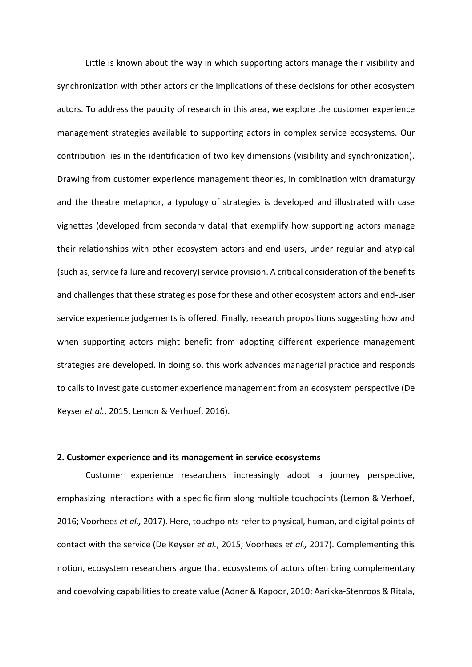Little is known about the way in which supporting actors manage their visibility and synchronization with other actors or the implications of these decisions for other ecosystem actors. To address the paucity of research in this area, we explore the customer experience management strategies available to supporting actors in complex service ecosystems. Our contribution lies in the identification of two key dimensions (visibility and synchronization). Drawing from customer experience management theories, in combination with dramaturgy and the theatre metaphor, a typology of strategies is developed and illustrated with case vignettes (developed from secondary data) that exemplify how supporting actors manage their relationships with other ecosystem actors and end users, under regular and atypical (such as, service failure and recovery) service provision. A critical consideration of the benefits and challenges that these strategies pose for these and other ecosystem actors and end-user service experience judgements is offered. Finally, research propositions suggesting how and when supporting actors might benefit from adopting different experience management strategies are developed. In doing so, this work advances managerial practice and responds to calls to investigate customer experience management from an ecosystem perspective (De Keyser *et al.*, 2015, Lemon & Verhoef, 2016).

## **2. Customer experience and its management in service ecosystems**

Customer experience researchers increasingly adopt a journey perspective, emphasizing interactions with a specific firm along multiple touchpoints (Lemon & Verhoef, 2016; Voorhees *et al.,* 2017). Here, touchpoints refer to physical, human, and digital points of contact with the service (De Keyser *et al.*, 2015; Voorhees *et al.,* 2017). Complementing this notion, ecosystem researchers argue that ecosystems of actors often bring complementary and coevolving capabilities to create value (Adner & Kapoor, 2010; Aarikka-Stenroos & Ritala,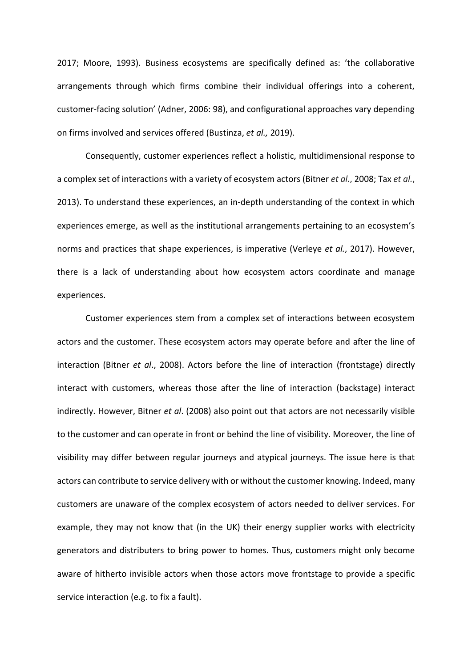2017; Moore, 1993). Business ecosystems are specifically defined as: 'the collaborative arrangements through which firms combine their individual offerings into a coherent, customer-facing solution' (Adner, 2006: 98), and configurational approaches vary depending on firms involved and services offered (Bustinza, *et al.,* 2019).

Consequently, customer experiences reflect a holistic, multidimensional response to a complex set of interactions with a variety of ecosystem actors (Bitner *et al.*, 2008; Tax *et al.*, 2013). To understand these experiences, an in-depth understanding of the context in which experiences emerge, as well as the institutional arrangements pertaining to an ecosystem's norms and practices that shape experiences, is imperative (Verleye *et al.*, 2017). However, there is a lack of understanding about how ecosystem actors coordinate and manage experiences.

Customer experiences stem from a complex set of interactions between ecosystem actors and the customer. These ecosystem actors may operate before and after the line of interaction (Bitner *et al*., 2008). Actors before the line of interaction (frontstage) directly interact with customers, whereas those after the line of interaction (backstage) interact indirectly. However, Bitner *et al*. (2008) also point out that actors are not necessarily visible to the customer and can operate in front or behind the line of visibility. Moreover, the line of visibility may differ between regular journeys and atypical journeys. The issue here is that actors can contribute to service delivery with or without the customer knowing. Indeed, many customers are unaware of the complex ecosystem of actors needed to deliver services. For example, they may not know that (in the UK) their energy supplier works with electricity generators and distributers to bring power to homes. Thus, customers might only become aware of hitherto invisible actors when those actors move frontstage to provide a specific service interaction (e.g. to fix a fault).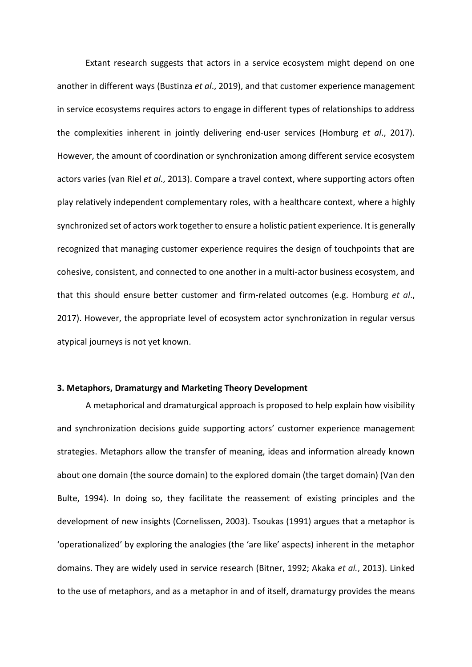Extant research suggests that actors in a service ecosystem might depend on one another in different ways (Bustinza *et al*., 2019), and that customer experience management in service ecosystems requires actors to engage in different types of relationships to address the complexities inherent in jointly delivering end-user services (Homburg *et al*., 2017). However, the amount of coordination or synchronization among different service ecosystem actors varies (van Riel *et al*., 2013). Compare a travel context, where supporting actors often play relatively independent complementary roles, with a healthcare context, where a highly synchronized set of actors work together to ensure a holistic patient experience. It is generally recognized that managing customer experience requires the design of touchpoints that are cohesive, consistent, and connected to one another in a multi-actor business ecosystem, and that this should ensure better customer and firm-related outcomes (e.g. Homburg *et al*., 2017). However, the appropriate level of ecosystem actor synchronization in regular versus atypical journeys is not yet known.

## **3. Metaphors, Dramaturgy and Marketing Theory Development**

A metaphorical and dramaturgical approach is proposed to help explain how visibility and synchronization decisions guide supporting actors' customer experience management strategies. Metaphors allow the transfer of meaning, ideas and information already known about one domain (the source domain) to the explored domain (the target domain) (Van den Bulte, 1994). In doing so, they facilitate the reassement of existing principles and the development of new insights (Cornelissen, 2003). Tsoukas (1991) argues that a metaphor is 'operationalized' by exploring the analogies (the 'are like' aspects) inherent in the metaphor domains. They are widely used in service research (Bitner, 1992; Akaka *et al.*, 2013). Linked to the use of metaphors, and as a metaphor in and of itself, dramaturgy provides the means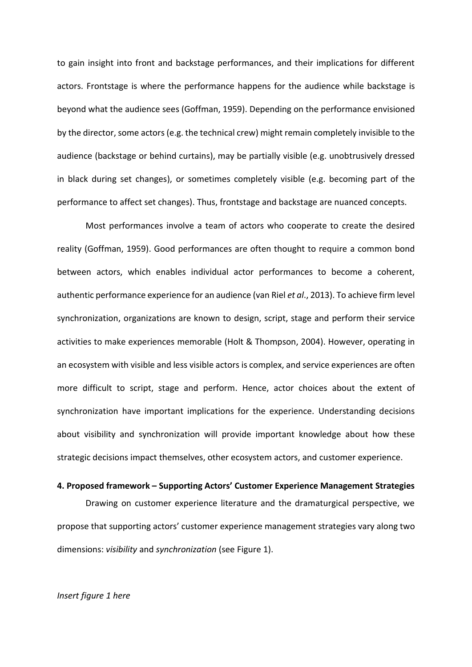to gain insight into front and backstage performances, and their implications for different actors. Frontstage is where the performance happens for the audience while backstage is beyond what the audience sees (Goffman, 1959). Depending on the performance envisioned by the director, some actors (e.g. the technical crew) might remain completely invisible to the audience (backstage or behind curtains), may be partially visible (e.g. unobtrusively dressed in black during set changes), or sometimes completely visible (e.g. becoming part of the performance to affect set changes). Thus, frontstage and backstage are nuanced concepts.

Most performances involve a team of actors who cooperate to create the desired reality (Goffman, 1959). Good performances are often thought to require a common bond between actors, which enables individual actor performances to become a coherent, authentic performance experience for an audience (van Riel *et al*., 2013). To achieve firm level synchronization, organizations are known to design, script, stage and perform their service activities to make experiences memorable (Holt & Thompson, 2004). However, operating in an ecosystem with visible and less visible actors is complex, and service experiences are often more difficult to script, stage and perform. Hence, actor choices about the extent of synchronization have important implications for the experience. Understanding decisions about visibility and synchronization will provide important knowledge about how these strategic decisions impact themselves, other ecosystem actors, and customer experience.

## **4. Proposed framework – Supporting Actors' Customer Experience Management Strategies**

Drawing on customer experience literature and the dramaturgical perspective, we propose that supporting actors' customer experience management strategies vary along two dimensions: *visibility* and *synchronization* (see Figure 1).

*Insert figure 1 here*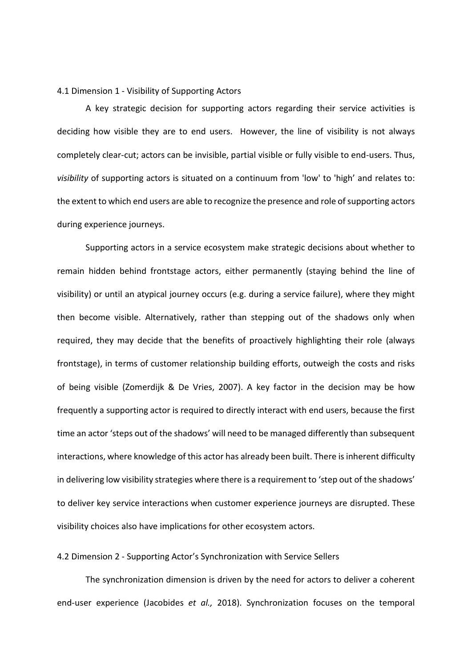## 4.1 Dimension 1 - Visibility of Supporting Actors

A key strategic decision for supporting actors regarding their service activities is deciding how visible they are to end users. However, the line of visibility is not always completely clear-cut; actors can be invisible, partial visible or fully visible to end-users. Thus, *visibility* of supporting actors is situated on a continuum from 'low' to 'high' and relates to: the extent to which end users are able to recognize the presence and role of supporting actors during experience journeys.

Supporting actors in a service ecosystem make strategic decisions about whether to remain hidden behind frontstage actors, either permanently (staying behind the line of visibility) or until an atypical journey occurs (e.g. during a service failure), where they might then become visible. Alternatively, rather than stepping out of the shadows only when required, they may decide that the benefits of proactively highlighting their role (always frontstage), in terms of customer relationship building efforts, outweigh the costs and risks of being visible (Zomerdijk & De Vries, 2007). A key factor in the decision may be how frequently a supporting actor is required to directly interact with end users, because the first time an actor 'steps out of the shadows' will need to be managed differently than subsequent interactions, where knowledge of this actor has already been built. There is inherent difficulty in delivering low visibility strategies where there is a requirement to 'step out of the shadows' to deliver key service interactions when customer experience journeys are disrupted. These visibility choices also have implications for other ecosystem actors.

#### 4.2 Dimension 2 - Supporting Actor's Synchronization with Service Sellers

The synchronization dimension is driven by the need for actors to deliver a coherent end-user experience (Jacobides *et al.,* 2018). Synchronization focuses on the temporal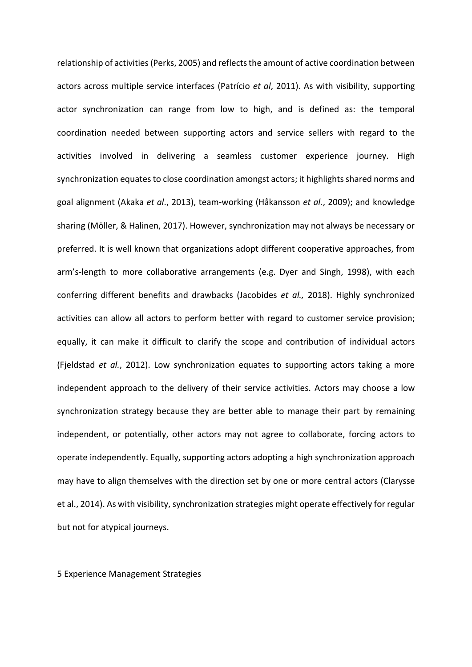relationship of activities (Perks, 2005) and reflectsthe amount of active coordination between actors across multiple service interfaces (Patrício *et al*, 2011). As with visibility, supporting actor synchronization can range from low to high, and is defined as: the temporal coordination needed between supporting actors and service sellers with regard to the activities involved in delivering a seamless customer experience journey. High synchronization equates to close coordination amongst actors; it highlights shared norms and goal alignment (Akaka *et al*., 2013), team-working (Håkansson *et al.*, 2009); and knowledge sharing (Möller, & Halinen, 2017). However, synchronization may not always be necessary or preferred. It is well known that organizations adopt different cooperative approaches, from arm's-length to more collaborative arrangements (e.g. Dyer and Singh, 1998), with each conferring different benefits and drawbacks (Jacobides *et al.,* 2018). Highly synchronized activities can allow all actors to perform better with regard to customer service provision; equally, it can make it difficult to clarify the scope and contribution of individual actors (Fjeldstad *et al.*, 2012). Low synchronization equates to supporting actors taking a more independent approach to the delivery of their service activities. Actors may choose a low synchronization strategy because they are better able to manage their part by remaining independent, or potentially, other actors may not agree to collaborate, forcing actors to operate independently. Equally, supporting actors adopting a high synchronization approach may have to align themselves with the direction set by one or more central actors (Clarysse et al., 2014). As with visibility, synchronization strategies might operate effectively for regular but not for atypical journeys.

5 Experience Management Strategies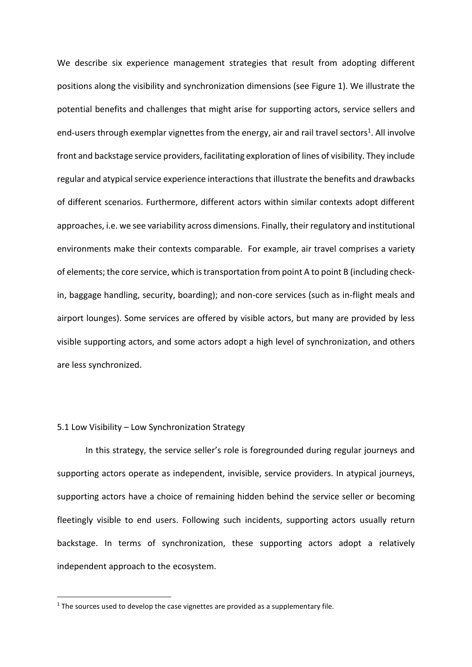We describe six experience management strategies that result from adopting different positions along the visibility and synchronization dimensions (see Figure 1). We illustrate the potential benefits and challenges that might arise for supporting actors, service sellers and end-users through exemplar vignettes from the energy, air and rail travel sectors<sup>1</sup>. All involve front and backstage service providers, facilitating exploration of lines of visibility. They include regular and atypical service experience interactions that illustrate the benefits and drawbacks of different scenarios. Furthermore, different actors within similar contexts adopt different approaches, i.e. we see variability across dimensions. Finally, their regulatory and institutional environments make their contexts comparable. For example, air travel comprises a variety of elements; the core service, which is transportation from point A to point B (including checkin, baggage handling, security, boarding); and non-core services (such as in-flight meals and airport lounges). Some services are offered by visible actors, but many are provided by less visible supporting actors, and some actors adopt a high level of synchronization, and others are less synchronized.

#### 5.1 Low Visibility *–* Low Synchronization Strategy

In this strategy, the service seller's role is foregrounded during regular journeys and supporting actors operate as independent, invisible, service providers. In atypical journeys, supporting actors have a choice of remaining hidden behind the service seller or becoming fleetingly visible to end users. Following such incidents, supporting actors usually return backstage. In terms of synchronization, these supporting actors adopt a relatively independent approach to the ecosystem.

<sup>&</sup>lt;sup>1</sup> The sources used to develop the case vignettes are provided as a supplementary file.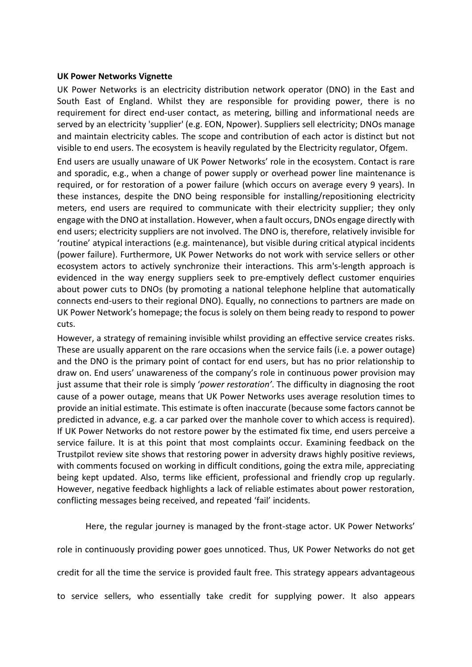## **UK Power Networks Vignette**

UK Power Networks is an electricity distribution network operator (DNO) in the East and South East of England. Whilst they are responsible for providing power, there is no requirement for direct end-user contact, as metering, billing and informational needs are served by an electricity 'supplier' (e.g. EON, Npower). Suppliers sell electricity; DNOs manage and maintain electricity cables. The scope and contribution of each actor is distinct but not visible to end users. The ecosystem is heavily regulated by the Electricity regulator, Ofgem.

End users are usually unaware of UK Power Networks' role in the ecosystem. Contact is rare and sporadic, e.g., when a change of power supply or overhead power line maintenance is required, or for restoration of a power failure (which occurs on average every 9 years). In these instances, despite the DNO being responsible for installing/repositioning electricity meters, end users are required to communicate with their electricity supplier; they only engage with the DNO at installation. However, when a fault occurs, DNOs engage directly with end users; electricity suppliers are not involved. The DNO is, therefore, relatively invisible for 'routine' atypical interactions (e.g. maintenance), but visible during critical atypical incidents (power failure). Furthermore, UK Power Networks do not work with service sellers or other ecosystem actors to actively synchronize their interactions. This arm's-length approach is evidenced in the way energy suppliers seek to pre-emptively deflect customer enquiries about power cuts to DNOs (by promoting a national telephone helpline that automatically connects end-users to their regional DNO). Equally, no connections to partners are made on UK Power Network's homepage; the focus is solely on them being ready to respond to power cuts.

However, a strategy of remaining invisible whilst providing an effective service creates risks. These are usually apparent on the rare occasions when the service fails (i.e. a power outage) and the DNO is the primary point of contact for end users, but has no prior relationship to draw on. End users' unawareness of the company's role in continuous power provision may just assume that their role is simply '*power restoration'*. The difficulty in diagnosing the root cause of a power outage, means that UK Power Networks uses average resolution times to provide an initial estimate. This estimate is often inaccurate (because some factors cannot be predicted in advance, e.g. a car parked over the manhole cover to which access is required). If UK Power Networks do not restore power by the estimated fix time, end users perceive a service failure. It is at this point that most complaints occur. Examining feedback on the Trustpilot review site shows that restoring power in adversity draws highly positive reviews, with comments focused on working in difficult conditions, going the extra mile, appreciating being kept updated. Also, terms like efficient, professional and friendly crop up regularly. However, negative feedback highlights a lack of reliable estimates about power restoration, conflicting messages being received, and repeated 'fail' incidents.

Here, the regular journey is managed by the front-stage actor. UK Power Networks' role in continuously providing power goes unnoticed. Thus, UK Power Networks do not get credit for all the time the service is provided fault free. This strategy appears advantageous to service sellers, who essentially take credit for supplying power. It also appears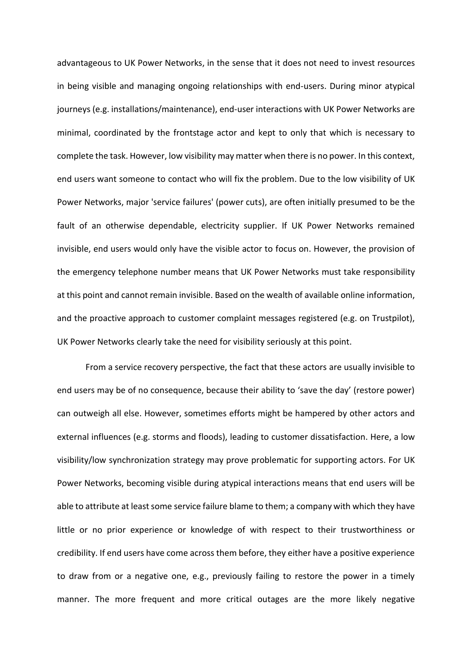advantageous to UK Power Networks, in the sense that it does not need to invest resources in being visible and managing ongoing relationships with end-users. During minor atypical journeys (e.g. installations/maintenance), end-user interactions with UK Power Networks are minimal, coordinated by the frontstage actor and kept to only that which is necessary to complete the task. However, low visibility may matter when there is no power. In this context, end users want someone to contact who will fix the problem. Due to the low visibility of UK Power Networks, major 'service failures' (power cuts), are often initially presumed to be the fault of an otherwise dependable, electricity supplier. If UK Power Networks remained invisible, end users would only have the visible actor to focus on. However, the provision of the emergency telephone number means that UK Power Networks must take responsibility at this point and cannot remain invisible. Based on the wealth of available online information, and the proactive approach to customer complaint messages registered (e.g. on Trustpilot), UK Power Networks clearly take the need for visibility seriously at this point.

From a service recovery perspective, the fact that these actors are usually invisible to end users may be of no consequence, because their ability to 'save the day' (restore power) can outweigh all else. However, sometimes efforts might be hampered by other actors and external influences (e.g. storms and floods), leading to customer dissatisfaction. Here, a low visibility/low synchronization strategy may prove problematic for supporting actors. For UK Power Networks, becoming visible during atypical interactions means that end users will be able to attribute at least some service failure blame to them; a company with which they have little or no prior experience or knowledge of with respect to their trustworthiness or credibility. If end users have come across them before, they either have a positive experience to draw from or a negative one, e.g., previously failing to restore the power in a timely manner. The more frequent and more critical outages are the more likely negative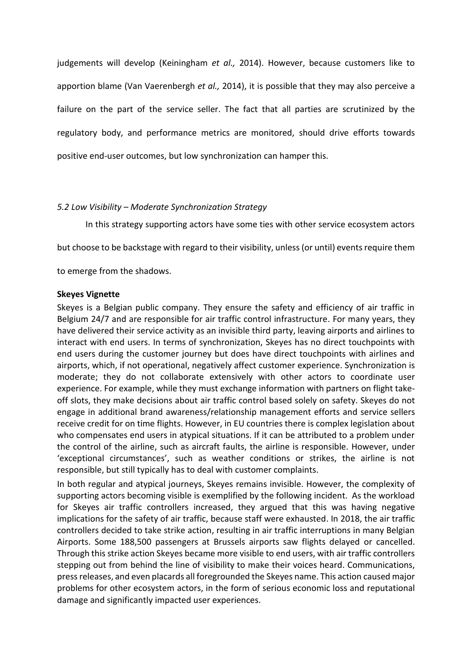judgements will develop (Keiningham *et al.,* 2014). However, because customers like to apportion blame (Van Vaerenbergh *et al.,* 2014), it is possible that they may also perceive a failure on the part of the service seller. The fact that all parties are scrutinized by the regulatory body, and performance metrics are monitored, should drive efforts towards positive end-user outcomes, but low synchronization can hamper this.

## *5.2 Low Visibility – Moderate Synchronization Strategy*

In this strategy supporting actors have some ties with other service ecosystem actors

but choose to be backstage with regard to their visibility, unless (or until) events require them

to emerge from the shadows.

## **Skeyes Vignette**

Skeyes is a Belgian public company. They ensure the safety and efficiency of air traffic in Belgium 24/7 and are responsible for air traffic control infrastructure. For many years, they have delivered their service activity as an invisible third party, leaving airports and airlines to interact with end users. In terms of synchronization, Skeyes has no direct touchpoints with end users during the customer journey but does have direct touchpoints with airlines and airports, which, if not operational, negatively affect customer experience. Synchronization is moderate; they do not collaborate extensively with other actors to coordinate user experience. For example, while they must exchange information with partners on flight takeoff slots, they make decisions about air traffic control based solely on safety. Skeyes do not engage in additional brand awareness/relationship management efforts and service sellers receive credit for on time flights. However, in EU countries there is complex legislation about who compensates end users in atypical situations. If it can be attributed to a problem under the control of the airline, such as aircraft faults, the airline is responsible. However, under 'exceptional circumstances', such as weather conditions or strikes, the airline is not responsible, but still typically has to deal with customer complaints.

In both regular and atypical journeys, Skeyes remains invisible. However, the complexity of supporting actors becoming visible is exemplified by the following incident. As the workload for Skeyes air traffic controllers increased, they argued that this was having negative implications for the safety of air traffic, because staff were exhausted. In 2018, the air traffic controllers decided to take strike action, resulting in air traffic interruptions in many Belgian Airports. Some 188,500 passengers at Brussels airports saw flights delayed or cancelled. Through this strike action Skeyes became more visible to end users, with air traffic controllers stepping out from behind the line of visibility to make their voices heard. Communications, press releases, and even placards all foregrounded the Skeyes name. This action caused major problems for other ecosystem actors, in the form of serious economic loss and reputational damage and significantly impacted user experiences.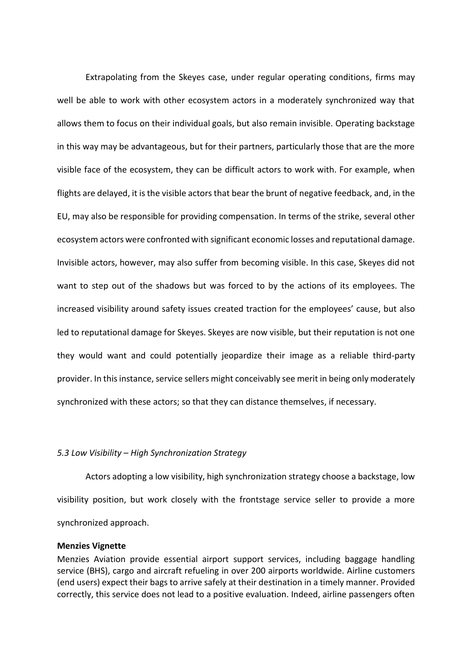Extrapolating from the Skeyes case, under regular operating conditions, firms may well be able to work with other ecosystem actors in a moderately synchronized way that allows them to focus on their individual goals, but also remain invisible. Operating backstage in this way may be advantageous, but for their partners, particularly those that are the more visible face of the ecosystem, they can be difficult actors to work with. For example, when flights are delayed, it is the visible actors that bear the brunt of negative feedback, and, in the EU, may also be responsible for providing compensation. In terms of the strike, several other ecosystem actors were confronted with significant economic losses and reputational damage. Invisible actors, however, may also suffer from becoming visible. In this case, Skeyes did not want to step out of the shadows but was forced to by the actions of its employees. The increased visibility around safety issues created traction for the employees' cause, but also led to reputational damage for Skeyes. Skeyes are now visible, but their reputation is not one they would want and could potentially jeopardize their image as a reliable third-party provider. In this instance, service sellers might conceivably see merit in being only moderately synchronized with these actors; so that they can distance themselves, if necessary.

#### *5.3 Low Visibility – High Synchronization Strategy*

Actors adopting a low visibility, high synchronization strategy choose a backstage, low visibility position, but work closely with the frontstage service seller to provide a more synchronized approach.

#### **Menzies Vignette**

Menzies Aviation provide essential airport support services, including baggage handling service (BHS), cargo and aircraft refueling in over 200 airports worldwide. Airline customers (end users) expect their bags to arrive safely at their destination in a timely manner. Provided correctly, this service does not lead to a positive evaluation. Indeed, airline passengers often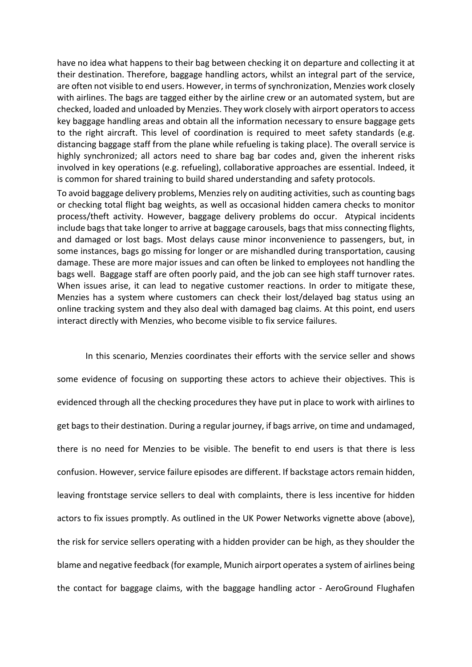have no idea what happens to their bag between checking it on departure and collecting it at their destination. Therefore, baggage handling actors, whilst an integral part of the service, are often not visible to end users. However, in terms of synchronization, Menzies work closely with airlines. The bags are tagged either by the airline crew or an automated system, but are checked, loaded and unloaded by Menzies. They work closely with airport operatorsto access key baggage handling areas and obtain all the information necessary to ensure baggage gets to the right aircraft. This level of coordination is required to meet safety standards (e.g. distancing baggage staff from the plane while refueling is taking place). The overall service is highly synchronized; all actors need to share bag bar codes and, given the inherent risks involved in key operations (e.g. refueling), collaborative approaches are essential. Indeed, it is common for shared training to build shared understanding and safety protocols.

To avoid baggage delivery problems, Menzies rely on auditing activities, such as counting bags or checking total flight bag weights, as well as occasional hidden camera checks to monitor process/theft activity. However, baggage delivery problems do occur. Atypical incidents include bags that take longer to arrive at baggage carousels, bags that miss connecting flights, and damaged or lost bags. Most delays cause minor inconvenience to passengers, but, in some instances, bags go missing for longer or are mishandled during transportation, causing damage. These are more major issues and can often be linked to employees not handling the bags well. Baggage staff are often poorly paid, and the job can see high staff turnover rates. When issues arise, it can lead to negative customer reactions. In order to mitigate these, Menzies has a system where customers can check their lost/delayed bag status using an online tracking system and they also deal with damaged bag claims. At this point, end users interact directly with Menzies, who become visible to fix service failures.

In this scenario, Menzies coordinates their efforts with the service seller and shows some evidence of focusing on supporting these actors to achieve their objectives. This is evidenced through all the checking procedures they have put in place to work with airlines to get bags to their destination. During a regular journey, if bags arrive, on time and undamaged, there is no need for Menzies to be visible. The benefit to end users is that there is less confusion. However, service failure episodes are different. If backstage actors remain hidden, leaving frontstage service sellers to deal with complaints, there is less incentive for hidden actors to fix issues promptly. As outlined in the UK Power Networks vignette above (above), the risk for service sellers operating with a hidden provider can be high, as they shoulder the blame and negative feedback (for example, Munich airport operates a system of airlines being the contact for baggage claims, with the baggage handling actor - AeroGround Flughafen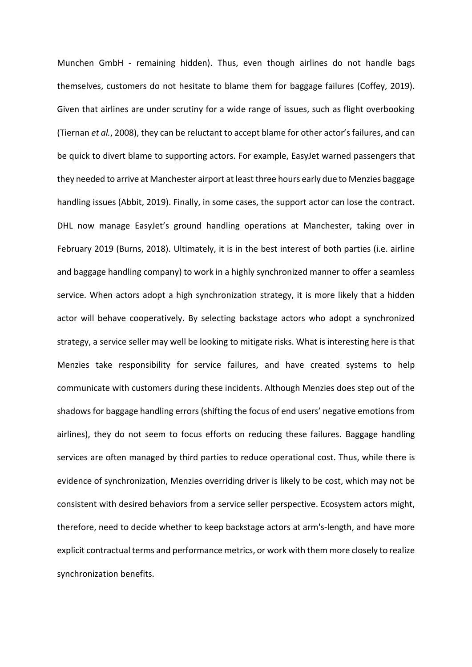Munchen GmbH - remaining hidden). Thus, even though airlines do not handle bags themselves, customers do not hesitate to blame them for baggage failures (Coffey, 2019). Given that airlines are under scrutiny for a wide range of issues, such as flight overbooking (Tiernan *et al.*, 2008), they can be reluctant to accept blame for other actor's failures, and can be quick to divert blame to supporting actors. For example, EasyJet warned passengers that they needed to arrive at Manchester airport at least three hours early due to Menzies baggage handling issues (Abbit, 2019). Finally, in some cases, the support actor can lose the contract. DHL now manage EasyJet's ground handling operations at Manchester, taking over in February 2019 (Burns, 2018). Ultimately, it is in the best interest of both parties (i.e. airline and baggage handling company) to work in a highly synchronized manner to offer a seamless service. When actors adopt a high synchronization strategy, it is more likely that a hidden actor will behave cooperatively. By selecting backstage actors who adopt a synchronized strategy, a service seller may well be looking to mitigate risks. What is interesting here is that Menzies take responsibility for service failures, and have created systems to help communicate with customers during these incidents. Although Menzies does step out of the shadows for baggage handling errors (shifting the focus of end users' negative emotions from airlines), they do not seem to focus efforts on reducing these failures. Baggage handling services are often managed by third parties to reduce operational cost. Thus, while there is evidence of synchronization, Menzies overriding driver is likely to be cost, which may not be consistent with desired behaviors from a service seller perspective. Ecosystem actors might, therefore, need to decide whether to keep backstage actors at arm's-length, and have more explicit contractual terms and performance metrics, or work with them more closely to realize synchronization benefits.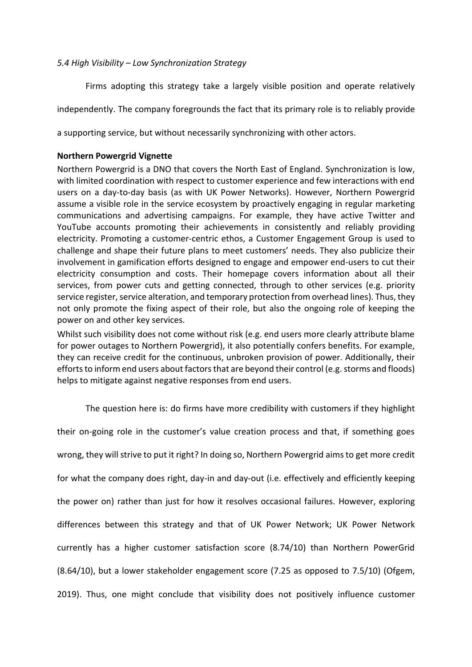## *5.4 High Visibility – Low Synchronization Strategy*

Firms adopting this strategy take a largely visible position and operate relatively

independently. The company foregrounds the fact that its primary role is to reliably provide

a supporting service, but without necessarily synchronizing with other actors.

## **Northern Powergrid Vignette**

Northern Powergrid is a DNO that covers the North East of England. Synchronization is low, with limited coordination with respect to customer experience and few interactions with end users on a day-to-day basis (as with UK Power Networks). However, Northern Powergrid assume a visible role in the service ecosystem by proactively engaging in regular marketing communications and advertising campaigns. For example, they have active Twitter and YouTube accounts promoting their achievements in consistently and reliably providing electricity. Promoting a customer-centric ethos, a Customer Engagement Group is used to challenge and shape their future plans to meet customers' needs. They also publicize their involvement in gamification efforts designed to engage and empower end-users to cut their electricity consumption and costs. Their homepage covers information about all their services, from power cuts and getting connected, through to other services (e.g. priority service register, service alteration, and temporary protection from overhead lines). Thus, they not only promote the fixing aspect of their role, but also the ongoing role of keeping the power on and other key services.

Whilst such visibility does not come without risk (e.g. end users more clearly attribute blame for power outages to Northern Powergrid), it also potentially confers benefits. For example, they can receive credit for the continuous, unbroken provision of power. Additionally, their efforts to inform end users about factors that are beyond their control (e.g. storms and floods) helps to mitigate against negative responses from end users.

The question here is: do firms have more credibility with customers if they highlight

their on-going role in the customer's value creation process and that, if something goes wrong, they will strive to put it right? In doing so, Northern Powergrid aimsto get more credit for what the company does right, day-in and day-out (i.e. effectively and efficiently keeping the power on) rather than just for how it resolves occasional failures. However, exploring differences between this strategy and that of UK Power Network; UK Power Network currently has a higher customer satisfaction score (8.74/10) than Northern PowerGrid (8.64/10), but a lower stakeholder engagement score (7.25 as opposed to 7.5/10) (Ofgem, 2019). Thus, one might conclude that visibility does not positively influence customer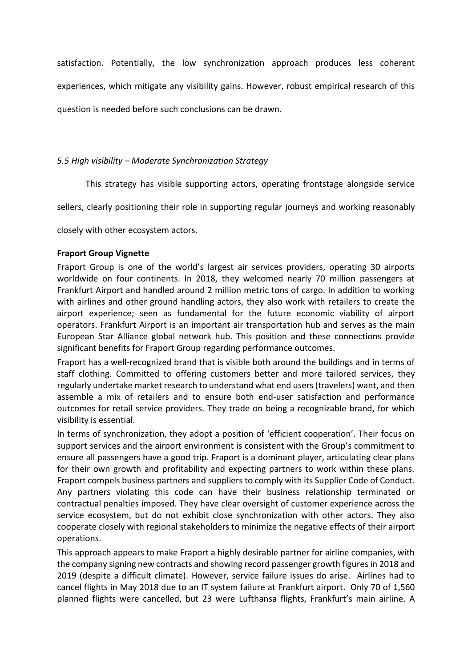satisfaction. Potentially, the low synchronization approach produces less coherent experiences, which mitigate any visibility gains. However, robust empirical research of this question is needed before such conclusions can be drawn.

*5.5 High visibility – Moderate Synchronization Strategy*

This strategy has visible supporting actors, operating frontstage alongside service

sellers, clearly positioning their role in supporting regular journeys and working reasonably

closely with other ecosystem actors.

## **Fraport Group Vignette**

Fraport Group is one of the world's largest air services providers, operating 30 airports worldwide on four continents. In 2018, they welcomed nearly 70 million passengers at Frankfurt Airport and handled around 2 million metric tons of cargo. In addition to working with airlines and other ground handling actors, they also work with retailers to create the airport experience; seen as fundamental for the future economic viability of airport operators. Frankfurt Airport is an important air transportation hub and serves as the main European Star Alliance global network hub. This position and these connections provide significant benefits for Fraport Group regarding performance outcomes.

Fraport has a well-recognized brand that is visible both around the buildings and in terms of staff clothing. Committed to offering customers better and more tailored services, they regularly undertake market research to understand what end users (travelers) want, and then assemble a mix of retailers and to ensure both end-user satisfaction and performance outcomes for retail service providers. They trade on being a recognizable brand, for which visibility is essential.

In terms of synchronization, they adopt a position of 'efficient cooperation'. Their focus on support services and the airport environment is consistent with the Group's commitment to ensure all passengers have a good trip. Fraport is a dominant player, articulating clear plans for their own growth and profitability and expecting partners to work within these plans. Fraport compels business partners and suppliers to comply with its Supplier Code of Conduct. Any partners violating this code can have their business relationship terminated or contractual penalties imposed. They have clear oversight of customer experience across the service ecosystem, but do not exhibit close synchronization with other actors. They also cooperate closely with regional stakeholders to minimize the negative effects of their airport operations.

This approach appears to make Fraport a highly desirable partner for airline companies, with the company signing new contracts and showing record passenger growth figures in 2018 and 2019 (despite a difficult climate). However, service failure issues do arise. Airlines had to cancel flights in May 2018 due to an IT system failure at Frankfurt airport. Only 70 of 1,560 planned flights were cancelled, but 23 were Lufthansa flights, Frankfurt's main airline. A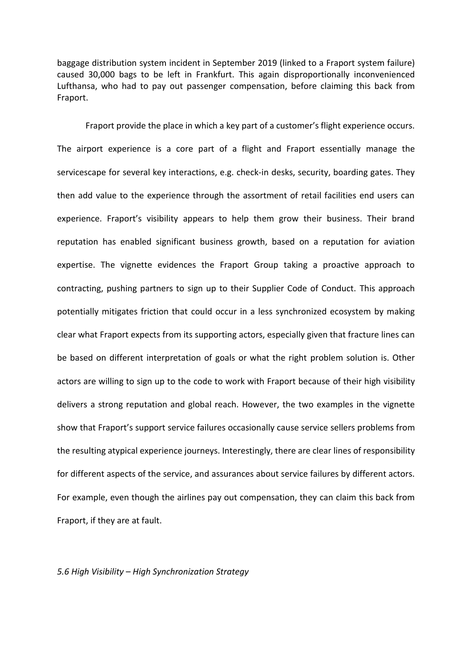baggage distribution system incident in September 2019 (linked to a Fraport system failure) caused 30,000 bags to be left in Frankfurt. This again disproportionally inconvenienced Lufthansa, who had to pay out passenger compensation, before claiming this back from Fraport.

Fraport provide the place in which a key part of a customer's flight experience occurs. The airport experience is a core part of a flight and Fraport essentially manage the servicescape for several key interactions, e.g. check-in desks, security, boarding gates. They then add value to the experience through the assortment of retail facilities end users can experience. Fraport's visibility appears to help them grow their business. Their brand reputation has enabled significant business growth, based on a reputation for aviation expertise. The vignette evidences the Fraport Group taking a proactive approach to contracting, pushing partners to sign up to their Supplier Code of Conduct. This approach potentially mitigates friction that could occur in a less synchronized ecosystem by making clear what Fraport expects from its supporting actors, especially given that fracture lines can be based on different interpretation of goals or what the right problem solution is. Other actors are willing to sign up to the code to work with Fraport because of their high visibility delivers a strong reputation and global reach. However, the two examples in the vignette show that Fraport's support service failures occasionally cause service sellers problems from the resulting atypical experience journeys. Interestingly, there are clear lines of responsibility for different aspects of the service, and assurances about service failures by different actors. For example, even though the airlines pay out compensation, they can claim this back from Fraport, if they are at fault.

## *5.6 High Visibility – High Synchronization Strategy*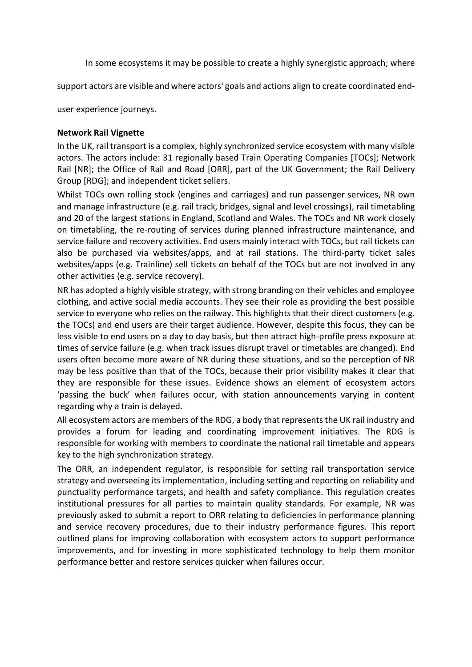In some ecosystems it may be possible to create a highly synergistic approach; where

support actors are visible and where actors' goals and actions align to create coordinated end-

user experience journeys.

## **Network Rail Vignette**

In the UK, rail transport is a complex, highly synchronized service ecosystem with many visible actors. The actors include: 31 regionally based Train Operating Companies [TOCs]; Network Rail [NR]; the Office of Rail and Road [ORR], part of the UK Government; the Rail Delivery Group [RDG]; and independent ticket sellers.

Whilst TOCs own rolling stock (engines and carriages) and run passenger services, NR own and manage infrastructure (e.g. rail track, bridges, signal and level crossings), rail timetabling and 20 of the largest stations in England, Scotland and Wales. The TOCs and NR work closely on timetabling, the re-routing of services during planned infrastructure maintenance, and service failure and recovery activities. End users mainly interact with TOCs, but rail tickets can also be purchased via websites/apps, and at rail stations. The third-party ticket sales websites/apps (e.g. Trainline) sell tickets on behalf of the TOCs but are not involved in any other activities (e.g. service recovery).

NR has adopted a highly visible strategy, with strong branding on their vehicles and employee clothing, and active social media accounts. They see their role as providing the best possible service to everyone who relies on the railway. This highlights that their direct customers (e.g. the TOCs) and end users are their target audience. However, despite this focus, they can be less visible to end users on a day to day basis, but then attract high-profile press exposure at times of service failure (e.g. when track issues disrupt travel or timetables are changed). End users often become more aware of NR during these situations, and so the perception of NR may be less positive than that of the TOCs, because their prior visibility makes it clear that they are responsible for these issues. Evidence shows an element of ecosystem actors 'passing the buck' when failures occur, with station announcements varying in content regarding why a train is delayed.

All ecosystem actors are members of the RDG, a body that represents the UK rail industry and provides a forum for leading and coordinating improvement initiatives. The RDG is responsible for working with members to coordinate the national rail timetable and appears key to the high synchronization strategy.

The ORR, an independent regulator, is responsible for setting rail transportation service strategy and overseeing its implementation, including setting and reporting on reliability and punctuality performance targets, and health and safety compliance. This regulation creates institutional pressures for all parties to maintain quality standards. For example, NR was previously asked to submit a report to ORR relating to deficiencies in performance planning and service recovery procedures, due to their industry performance figures. This report outlined plans for improving collaboration with ecosystem actors to support performance improvements, and for investing in more sophisticated technology to help them monitor performance better and restore services quicker when failures occur.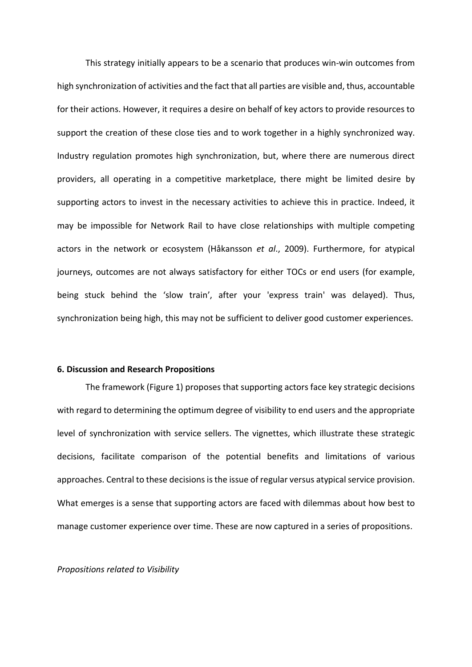This strategy initially appears to be a scenario that produces win-win outcomes from high synchronization of activities and the fact that all parties are visible and, thus, accountable for their actions. However, it requires a desire on behalf of key actors to provide resources to support the creation of these close ties and to work together in a highly synchronized way. Industry regulation promotes high synchronization, but, where there are numerous direct providers, all operating in a competitive marketplace, there might be limited desire by supporting actors to invest in the necessary activities to achieve this in practice. Indeed, it may be impossible for Network Rail to have close relationships with multiple competing actors in the network or ecosystem (Håkansson *et al*., 2009). Furthermore, for atypical journeys, outcomes are not always satisfactory for either TOCs or end users (for example, being stuck behind the 'slow train', after your 'express train' was delayed). Thus, synchronization being high, this may not be sufficient to deliver good customer experiences.

## **6. Discussion and Research Propositions**

The framework (Figure 1) proposes that supporting actors face key strategic decisions with regard to determining the optimum degree of visibility to end users and the appropriate level of synchronization with service sellers. The vignettes, which illustrate these strategic decisions, facilitate comparison of the potential benefits and limitations of various approaches. Central to these decisions is the issue of regular versus atypical service provision. What emerges is a sense that supporting actors are faced with dilemmas about how best to manage customer experience over time. These are now captured in a series of propositions.

#### *Propositions related to Visibility*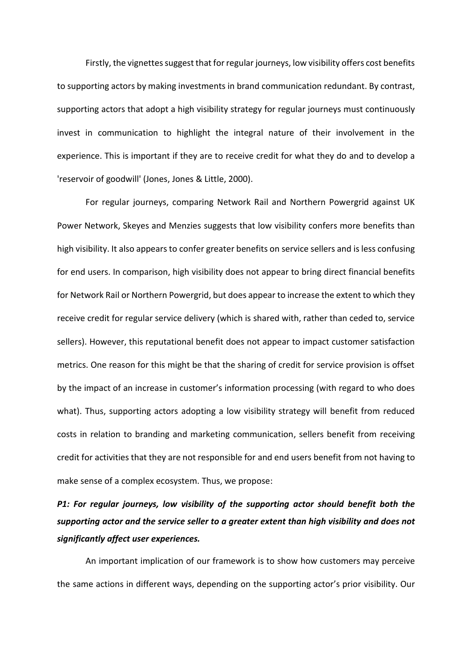Firstly, the vignettes suggest that for regular journeys, low visibility offers cost benefits to supporting actors by making investments in brand communication redundant. By contrast, supporting actors that adopt a high visibility strategy for regular journeys must continuously invest in communication to highlight the integral nature of their involvement in the experience. This is important if they are to receive credit for what they do and to develop a 'reservoir of goodwill' (Jones, Jones & Little, 2000).

For regular journeys, comparing Network Rail and Northern Powergrid against UK Power Network, Skeyes and Menzies suggests that low visibility confers more benefits than high visibility. It also appears to confer greater benefits on service sellers and is less confusing for end users. In comparison, high visibility does not appear to bring direct financial benefits for Network Rail or Northern Powergrid, but does appear to increase the extent to which they receive credit for regular service delivery (which is shared with, rather than ceded to, service sellers). However, this reputational benefit does not appear to impact customer satisfaction metrics. One reason for this might be that the sharing of credit for service provision is offset by the impact of an increase in customer's information processing (with regard to who does what). Thus, supporting actors adopting a low visibility strategy will benefit from reduced costs in relation to branding and marketing communication, sellers benefit from receiving credit for activities that they are not responsible for and end users benefit from not having to make sense of a complex ecosystem. Thus, we propose:

## *P1: For regular journeys, low visibility of the supporting actor should benefit both the supporting actor and the service seller to a greater extent than high visibility and does not significantly affect user experiences.*

An important implication of our framework is to show how customers may perceive the same actions in different ways, depending on the supporting actor's prior visibility. Our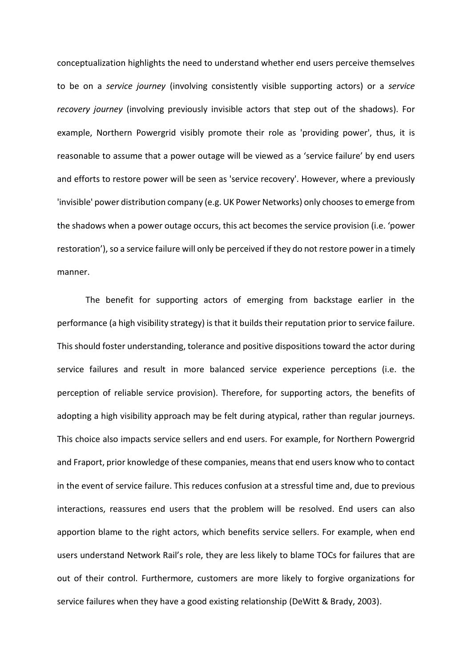conceptualization highlights the need to understand whether end users perceive themselves to be on a *service journey* (involving consistently visible supporting actors) or a *service recovery journey* (involving previously invisible actors that step out of the shadows). For example, Northern Powergrid visibly promote their role as 'providing power', thus, it is reasonable to assume that a power outage will be viewed as a 'service failure' by end users and efforts to restore power will be seen as 'service recovery'. However, where a previously 'invisible' power distribution company (e.g. UK Power Networks) only chooses to emerge from the shadows when a power outage occurs, this act becomes the service provision (i.e. 'power restoration'), so a service failure will only be perceived if they do not restore power in a timely manner.

The benefit for supporting actors of emerging from backstage earlier in the performance (a high visibility strategy) is that it builds their reputation prior to service failure. This should foster understanding, tolerance and positive dispositions toward the actor during service failures and result in more balanced service experience perceptions (i.e. the perception of reliable service provision). Therefore, for supporting actors, the benefits of adopting a high visibility approach may be felt during atypical, rather than regular journeys. This choice also impacts service sellers and end users. For example, for Northern Powergrid and Fraport, prior knowledge of these companies, means that end users know who to contact in the event of service failure. This reduces confusion at a stressful time and, due to previous interactions, reassures end users that the problem will be resolved. End users can also apportion blame to the right actors, which benefits service sellers. For example, when end users understand Network Rail's role, they are less likely to blame TOCs for failures that are out of their control. Furthermore, customers are more likely to forgive organizations for service failures when they have a good existing relationship (DeWitt & Brady, 2003).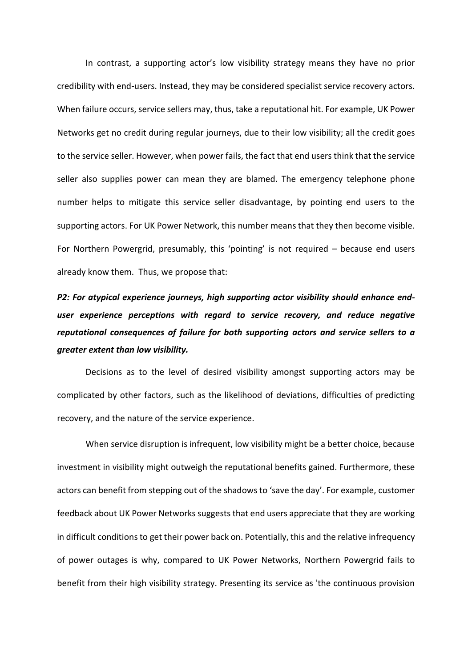In contrast, a supporting actor's low visibility strategy means they have no prior credibility with end-users. Instead, they may be considered specialist service recovery actors. When failure occurs, service sellers may, thus, take a reputational hit. For example, UK Power Networks get no credit during regular journeys, due to their low visibility; all the credit goes to the service seller. However, when power fails, the fact that end users think that the service seller also supplies power can mean they are blamed. The emergency telephone phone number helps to mitigate this service seller disadvantage, by pointing end users to the supporting actors. For UK Power Network, this number means that they then become visible. For Northern Powergrid, presumably, this 'pointing' is not required – because end users already know them. Thus, we propose that:

*P2: For atypical experience journeys, high supporting actor visibility should enhance enduser experience perceptions with regard to service recovery, and reduce negative reputational consequences of failure for both supporting actors and service sellers to a greater extent than low visibility.*

Decisions as to the level of desired visibility amongst supporting actors may be complicated by other factors, such as the likelihood of deviations, difficulties of predicting recovery, and the nature of the service experience.

When service disruption is infrequent, low visibility might be a better choice, because investment in visibility might outweigh the reputational benefits gained. Furthermore, these actors can benefit from stepping out of the shadows to 'save the day'. For example, customer feedback about UK Power Networks suggests that end users appreciate that they are working in difficult conditions to get their power back on. Potentially, this and the relative infrequency of power outages is why, compared to UK Power Networks, Northern Powergrid fails to benefit from their high visibility strategy. Presenting its service as 'the continuous provision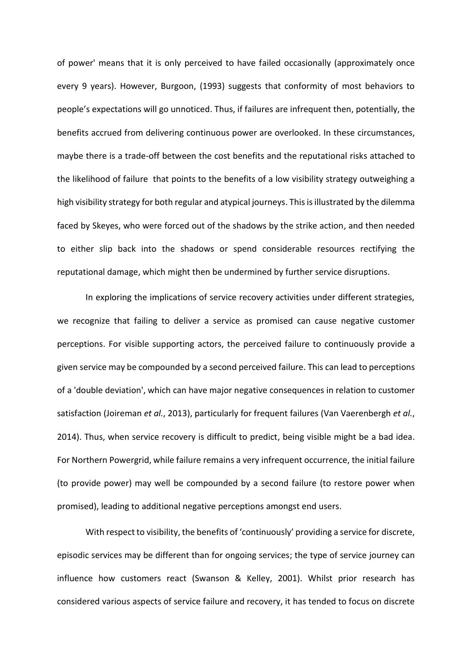of power' means that it is only perceived to have failed occasionally (approximately once every 9 years). However, Burgoon, (1993) suggests that conformity of most behaviors to people's expectations will go unnoticed. Thus, if failures are infrequent then, potentially, the benefits accrued from delivering continuous power are overlooked. In these circumstances, maybe there is a trade-off between the cost benefits and the reputational risks attached to the likelihood of failure that points to the benefits of a low visibility strategy outweighing a high visibility strategy for both regular and atypical journeys. This is illustrated by the dilemma faced by Skeyes, who were forced out of the shadows by the strike action, and then needed to either slip back into the shadows or spend considerable resources rectifying the reputational damage, which might then be undermined by further service disruptions.

In exploring the implications of service recovery activities under different strategies, we recognize that failing to deliver a service as promised can cause negative customer perceptions. For visible supporting actors, the perceived failure to continuously provide a given service may be compounded by a second perceived failure. This can lead to perceptions of a 'double deviation', which can have major negative consequences in relation to customer satisfaction (Joireman *et al.*, 2013), particularly for frequent failures (Van Vaerenbergh *et al.*, 2014). Thus, when service recovery is difficult to predict, being visible might be a bad idea. For Northern Powergrid, while failure remains a very infrequent occurrence, the initial failure (to provide power) may well be compounded by a second failure (to restore power when promised), leading to additional negative perceptions amongst end users.

With respect to visibility, the benefits of 'continuously' providing a service for discrete, episodic services may be different than for ongoing services; the type of service journey can influence how customers react (Swanson & Kelley, 2001). Whilst prior research has considered various aspects of service failure and recovery, it has tended to focus on discrete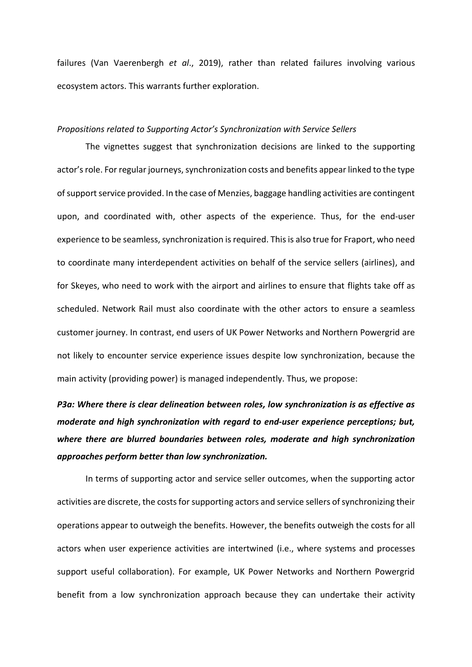failures (Van Vaerenbergh *et al*., 2019), rather than related failures involving various ecosystem actors. This warrants further exploration.

## *Propositions related to Supporting Actor's Synchronization with Service Sellers*

The vignettes suggest that synchronization decisions are linked to the supporting actor's role. For regular journeys, synchronization costs and benefits appear linked to the type of support service provided. In the case of Menzies, baggage handling activities are contingent upon, and coordinated with, other aspects of the experience. Thus, for the end-user experience to be seamless, synchronization is required. This is also true for Fraport, who need to coordinate many interdependent activities on behalf of the service sellers (airlines), and for Skeyes, who need to work with the airport and airlines to ensure that flights take off as scheduled. Network Rail must also coordinate with the other actors to ensure a seamless customer journey. In contrast, end users of UK Power Networks and Northern Powergrid are not likely to encounter service experience issues despite low synchronization, because the main activity (providing power) is managed independently. Thus, we propose:

*P3a: Where there is clear delineation between roles, low synchronization is as effective as moderate and high synchronization with regard to end-user experience perceptions; but, where there are blurred boundaries between roles, moderate and high synchronization approaches perform better than low synchronization.* 

In terms of supporting actor and service seller outcomes, when the supporting actor activities are discrete, the costs for supporting actors and service sellers of synchronizing their operations appear to outweigh the benefits. However, the benefits outweigh the costs for all actors when user experience activities are intertwined (i.e., where systems and processes support useful collaboration). For example, UK Power Networks and Northern Powergrid benefit from a low synchronization approach because they can undertake their activity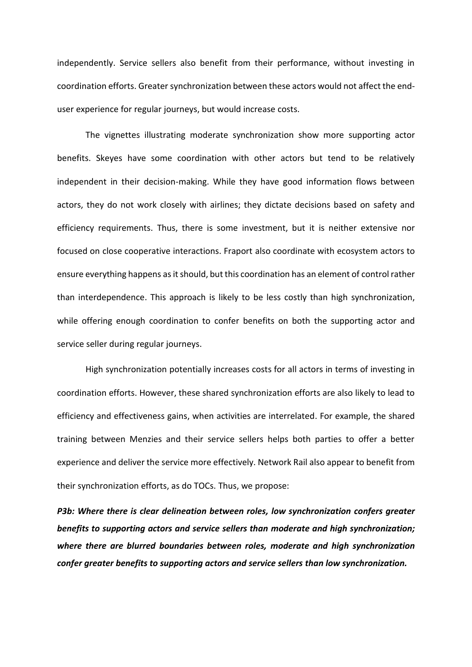independently. Service sellers also benefit from their performance, without investing in coordination efforts. Greater synchronization between these actors would not affect the enduser experience for regular journeys, but would increase costs.

The vignettes illustrating moderate synchronization show more supporting actor benefits. Skeyes have some coordination with other actors but tend to be relatively independent in their decision-making. While they have good information flows between actors, they do not work closely with airlines; they dictate decisions based on safety and efficiency requirements. Thus, there is some investment, but it is neither extensive nor focused on close cooperative interactions. Fraport also coordinate with ecosystem actors to ensure everything happens as it should, but this coordination has an element of controlrather than interdependence. This approach is likely to be less costly than high synchronization, while offering enough coordination to confer benefits on both the supporting actor and service seller during regular journeys.

High synchronization potentially increases costs for all actors in terms of investing in coordination efforts. However, these shared synchronization efforts are also likely to lead to efficiency and effectiveness gains, when activities are interrelated. For example, the shared training between Menzies and their service sellers helps both parties to offer a better experience and deliver the service more effectively. Network Rail also appear to benefit from their synchronization efforts, as do TOCs. Thus, we propose:

*P3b: Where there is clear delineation between roles, low synchronization confers greater benefits to supporting actors and service sellers than moderate and high synchronization; where there are blurred boundaries between roles, moderate and high synchronization confer greater benefits to supporting actors and service sellers than low synchronization.*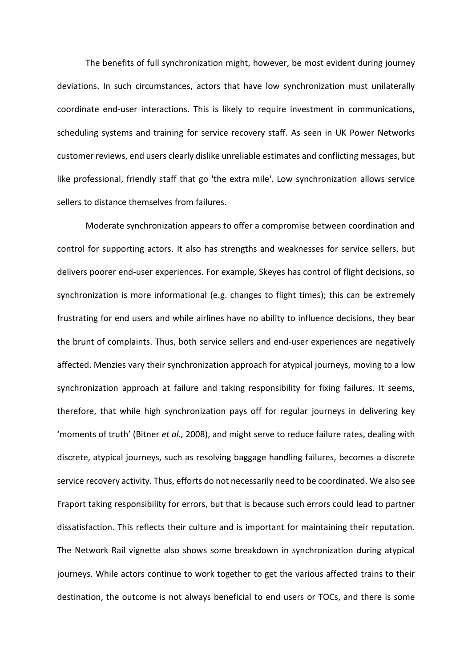The benefits of full synchronization might, however, be most evident during journey deviations. In such circumstances, actors that have low synchronization must unilaterally coordinate end-user interactions. This is likely to require investment in communications, scheduling systems and training for service recovery staff. As seen in UK Power Networks customer reviews, end users clearly dislike unreliable estimates and conflicting messages, but like professional, friendly staff that go 'the extra mile'. Low synchronization allows service sellers to distance themselves from failures.

Moderate synchronization appears to offer a compromise between coordination and control for supporting actors. It also has strengths and weaknesses for service sellers, but delivers poorer end-user experiences. For example, Skeyes has control of flight decisions, so synchronization is more informational (e.g. changes to flight times); this can be extremely frustrating for end users and while airlines have no ability to influence decisions, they bear the brunt of complaints. Thus, both service sellers and end-user experiences are negatively affected. Menzies vary their synchronization approach for atypical journeys, moving to a low synchronization approach at failure and taking responsibility for fixing failures. It seems, therefore, that while high synchronization pays off for regular journeys in delivering key 'moments of truth' (Bitner *et al.,* 2008), and might serve to reduce failure rates, dealing with discrete, atypical journeys, such as resolving baggage handling failures, becomes a discrete service recovery activity. Thus, efforts do not necessarily need to be coordinated. We also see Fraport taking responsibility for errors, but that is because such errors could lead to partner dissatisfaction. This reflects their culture and is important for maintaining their reputation. The Network Rail vignette also shows some breakdown in synchronization during atypical journeys. While actors continue to work together to get the various affected trains to their destination, the outcome is not always beneficial to end users or TOCs, and there is some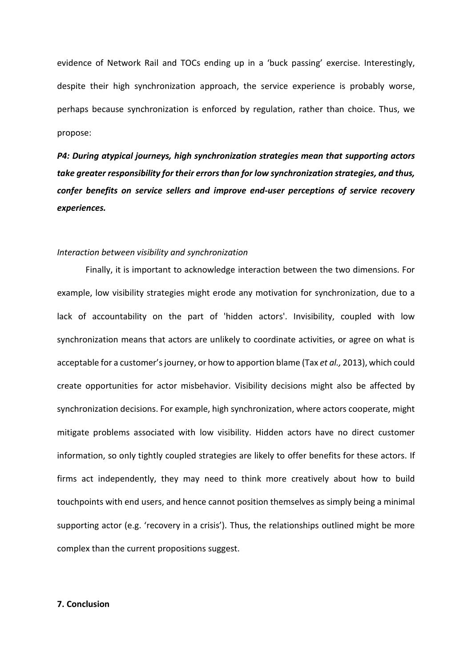evidence of Network Rail and TOCs ending up in a 'buck passing' exercise. Interestingly, despite their high synchronization approach, the service experience is probably worse, perhaps because synchronization is enforced by regulation, rather than choice. Thus, we propose:

*P4: During atypical journeys, high synchronization strategies mean that supporting actors take greater responsibility for their errors than for low synchronization strategies, and thus, confer benefits on service sellers and improve end-user perceptions of service recovery experiences.* 

#### *Interaction between visibility and synchronization*

Finally, it is important to acknowledge interaction between the two dimensions. For example, low visibility strategies might erode any motivation for synchronization, due to a lack of accountability on the part of 'hidden actors'. Invisibility, coupled with low synchronization means that actors are unlikely to coordinate activities, or agree on what is acceptable for a customer's journey, or how to apportion blame (Tax *et al.,* 2013), which could create opportunities for actor misbehavior. Visibility decisions might also be affected by synchronization decisions. For example, high synchronization, where actors cooperate, might mitigate problems associated with low visibility. Hidden actors have no direct customer information, so only tightly coupled strategies are likely to offer benefits for these actors. If firms act independently, they may need to think more creatively about how to build touchpoints with end users, and hence cannot position themselves as simply being a minimal supporting actor (e.g. 'recovery in a crisis'). Thus, the relationships outlined might be more complex than the current propositions suggest.

## **7. Conclusion**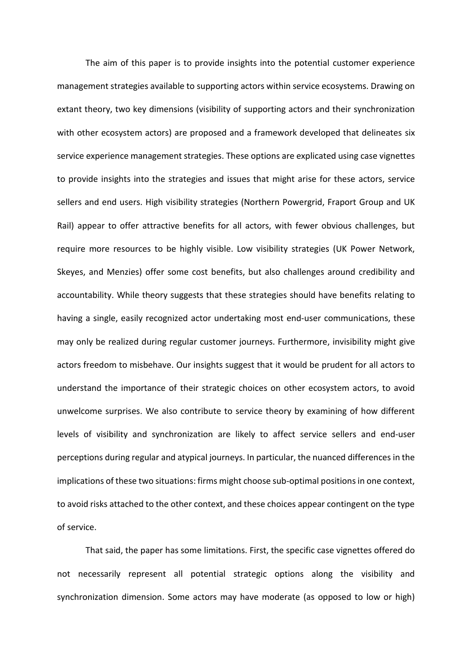The aim of this paper is to provide insights into the potential customer experience management strategies available to supporting actors within service ecosystems. Drawing on extant theory, two key dimensions (visibility of supporting actors and their synchronization with other ecosystem actors) are proposed and a framework developed that delineates six service experience management strategies. These options are explicated using case vignettes to provide insights into the strategies and issues that might arise for these actors, service sellers and end users. High visibility strategies (Northern Powergrid, Fraport Group and UK Rail) appear to offer attractive benefits for all actors, with fewer obvious challenges, but require more resources to be highly visible. Low visibility strategies (UK Power Network, Skeyes, and Menzies) offer some cost benefits, but also challenges around credibility and accountability. While theory suggests that these strategies should have benefits relating to having a single, easily recognized actor undertaking most end-user communications, these may only be realized during regular customer journeys. Furthermore, invisibility might give actors freedom to misbehave. Our insights suggest that it would be prudent for all actors to understand the importance of their strategic choices on other ecosystem actors, to avoid unwelcome surprises. We also contribute to service theory by examining of how different levels of visibility and synchronization are likely to affect service sellers and end-user perceptions during regular and atypical journeys. In particular, the nuanced differences in the implications of these two situations: firms might choose sub-optimal positions in one context, to avoid risks attached to the other context, and these choices appear contingent on the type of service.

That said, the paper has some limitations. First, the specific case vignettes offered do not necessarily represent all potential strategic options along the visibility and synchronization dimension. Some actors may have moderate (as opposed to low or high)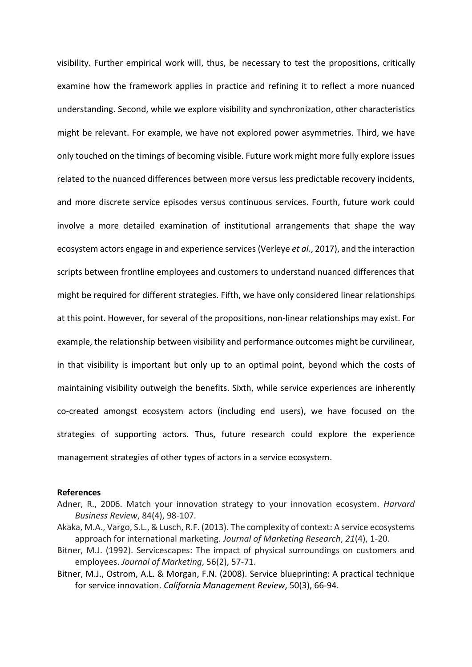visibility. Further empirical work will, thus, be necessary to test the propositions, critically examine how the framework applies in practice and refining it to reflect a more nuanced understanding. Second, while we explore visibility and synchronization, other characteristics might be relevant. For example, we have not explored power asymmetries. Third, we have only touched on the timings of becoming visible. Future work might more fully explore issues related to the nuanced differences between more versus less predictable recovery incidents, and more discrete service episodes versus continuous services. Fourth, future work could involve a more detailed examination of institutional arrangements that shape the way ecosystem actors engage in and experience services (Verleye *et al.*, 2017), and the interaction scripts between frontline employees and customers to understand nuanced differences that might be required for different strategies. Fifth, we have only considered linear relationships at this point. However, for several of the propositions, non-linear relationships may exist. For example, the relationship between visibility and performance outcomes might be curvilinear, in that visibility is important but only up to an optimal point, beyond which the costs of maintaining visibility outweigh the benefits. Sixth, while service experiences are inherently co-created amongst ecosystem actors (including end users), we have focused on the strategies of supporting actors. Thus, future research could explore the experience management strategies of other types of actors in a service ecosystem.

#### **References**

- Adner, R., 2006. Match your innovation strategy to your innovation ecosystem. *Harvard Business Review*, 84(4), 98-107.
- Akaka, M.A., Vargo, S.L., & Lusch, R.F. (2013). The complexity of context: A service ecosystems approach for international marketing. *Journal of Marketing Research*, *21*(4), 1-20.
- Bitner, M.J. (1992). Servicescapes: The impact of physical surroundings on customers and employees. *Journal of Marketing*, 56(2), 57-71.
- Bitner, M.J., Ostrom, A.L. & Morgan, F.N. (2008). Service blueprinting: A practical technique for service innovation. *California Management Review*, 50(3), 66-94.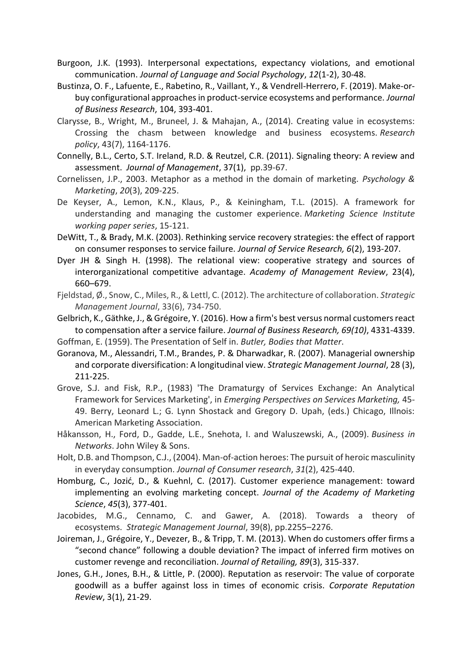- Burgoon, J.K. (1993). Interpersonal expectations, expectancy violations, and emotional communication. *Journal of Language and Social Psychology*, *12*(1-2), 30-48.
- Bustinza, O. F., Lafuente, E., Rabetino, R., Vaillant, Y., & Vendrell-Herrero, F. (2019). Make-orbuy configurational approaches in product-service ecosystems and performance. *Journal of Business Research*, 104, 393-401.
- Clarysse, B., Wright, M., Bruneel, J. & Mahajan, A., (2014). Creating value in ecosystems: Crossing the chasm between knowledge and business ecosystems. *Research policy*, 43(7), 1164-1176.
- Connelly, B.L., Certo, S.T. Ireland, R.D. & Reutzel, C.R. (2011). Signaling theory: A review and assessment. *Journal of Management*, 37(1), pp.39-67.
- Cornelissen, J.P., 2003. Metaphor as a method in the domain of marketing. *Psychology & Marketing*, *20*(3), 209-225.
- De Keyser, A., Lemon, K.N., Klaus, P., & Keiningham, T.L. (2015). A framework for understanding and managing the customer experience. *Marketing Science Institute working paper series*, 15-121.
- DeWitt, T., & Brady, M.K. (2003). Rethinking service recovery strategies: the effect of rapport on consumer responses to service failure. *Journal of Service Research, 6*(2), 193-207.
- Dyer JH & Singh H. (1998). The relational view: cooperative strategy and sources of interorganizational competitive advantage. *Academy of Management Review*, 23(4), 660–679.
- Fjeldstad, Ø., Snow, C., Miles, R., & Lettl, C. (2012). The architecture of collaboration. *Strategic Management Journal*, 33(6), 734-750.
- Gelbrich, K., Gäthke, J., & Grégoire, Y. (2016). How a firm's best versus normal customers react to compensation after a service failure. *Journal of Business Research, 69(10)*, 4331-4339. Goffman, E. (1959). The Presentation of Self in. *Butler, Bodies that Matter*.
- Goranova, M., Alessandri, T.M., Brandes, P. & Dharwadkar, R. (2007). Managerial ownership and corporate diversification: A longitudinal view. *Strategic Management Journal*, 28 (3), 211-225.
- Grove, S.J. and Fisk, R.P., (1983) 'The Dramaturgy of Services Exchange: An Analytical Framework for Services Marketing', in *Emerging Perspectives on Services Marketing,* 45- 49. Berry, Leonard L.; G. Lynn Shostack and Gregory D. Upah, (eds.) Chicago, Illnois: American Marketing Association.
- Håkansson, H., Ford, D., Gadde, L.E., Snehota, I. and Waluszewski, A., (2009). *Business in Networks*. John Wiley & Sons.
- Holt, D.B. and Thompson, C.J., (2004). Man-of-action heroes: The pursuit of heroic masculinity in everyday consumption. *Journal of Consumer research*, *31*(2), 425-440.
- Homburg, C., Jozić, D., & Kuehnl, C. (2017). Customer experience management: toward implementing an evolving marketing concept. *Journal of the Academy of Marketing Science*, *45*(3), 377-401.
- Jacobides, M.G., Cennamo, C. and Gawer, A. (2018). Towards a theory of ecosystems. *Strategic Management Journal*, 39(8), pp.2255–2276.
- Joireman, J., Grégoire, Y., Devezer, B., & Tripp, T. M. (2013). When do customers offer firms a "second chance" following a double deviation? The impact of inferred firm motives on customer revenge and reconciliation. *Journal of Retailing, 89*(3), 315-337.
- Jones, G.H., Jones, B.H., & Little, P. (2000). Reputation as reservoir: The value of corporate goodwill as a buffer against loss in times of economic crisis. *Corporate Reputation Review*, 3(1), 21-29.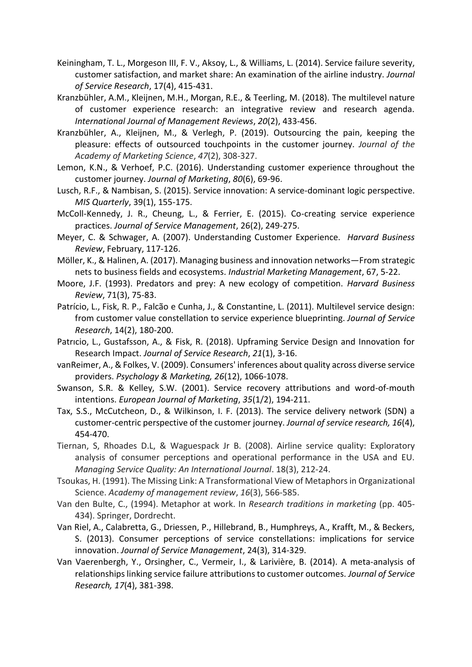- Keiningham, T. L., Morgeson III, F. V., Aksoy, L., & Williams, L. (2014). Service failure severity, customer satisfaction, and market share: An examination of the airline industry. *Journal of Service Research*, 17(4), 415-431.
- Kranzbühler, A.M., Kleijnen, M.H., Morgan, R.E., & Teerling, M. (2018). The multilevel nature of customer experience research: an integrative review and research agenda. *International Journal of Management Reviews*, *20*(2), 433-456.
- Kranzbühler, A., Kleijnen, M., & Verlegh, P. (2019). Outsourcing the pain, keeping the pleasure: effects of outsourced touchpoints in the customer journey. *Journal of the Academy of Marketing Science*, *47*(2), 308-327.
- Lemon, K.N., & Verhoef, P.C. (2016). Understanding customer experience throughout the customer journey. *Journal of Marketing*, *80*(6), 69-96.
- Lusch, R.F., & Nambisan, S. (2015). Service innovation: A service-dominant logic perspective. *MIS Quarterly*, 39(1), 155-175.
- McColl-Kennedy, J. R., Cheung, L., & Ferrier, E. (2015). Co-creating service experience practices. *Journal of Service Management*, 26(2), 249-275.
- Meyer, C. & Schwager, A. (2007). Understanding Customer Experience. *Harvard Business Review*, February, 117-126.
- Möller, K., & Halinen, A. (2017). Managing business and innovation networks—From strategic nets to business fields and ecosystems. *Industrial Marketing Management*, 67, 5-22.
- Moore, J.F. (1993). Predators and prey: A new ecology of competition. *Harvard Business Review*, 71(3), 75-83.
- Patrício, L., Fisk, R. P., Falcão e Cunha, J., & Constantine, L. (2011). Multilevel service design: from customer value constellation to service experience blueprinting. *Journal of Service Research*, 14(2), 180-200.
- Patrıcio, L., Gustafsson, A., & Fisk, R. (2018). Upframing Service Design and Innovation for Research Impact. *Journal of Service Research*, *21*(1), 3-16.
- vanReimer, A., & Folkes, V. (2009). Consumers' inferences about quality across diverse service providers. *Psychology & Marketing, 26*(12), 1066-1078.
- Swanson, S.R. & Kelley, S.W. (2001). Service recovery attributions and word-of-mouth intentions. *European Journal of Marketing*, *35*(1/2), 194-211.
- Tax, S.S., McCutcheon, D., & Wilkinson, I. F. (2013). The service delivery network (SDN) a customer-centric perspective of the customer journey. *Journal of service research, 16*(4), 454-470.
- Tiernan, S, Rhoades D.L, & Waguespack Jr B. (2008). Airline service quality: Exploratory analysis of consumer perceptions and operational performance in the USA and EU. *Managing Service Quality: An International Journal*. 18(3), 212-24.
- Tsoukas, H. (1991). The Missing Link: A Transformational View of Metaphors in Organizational Science. *Academy of management review*, *16*(3), 566-585.
- Van den Bulte, C., (1994). Metaphor at work. In *Research traditions in marketing* (pp. 405- 434). Springer, Dordrecht.
- Van Riel, A., Calabretta, G., Driessen, P., Hillebrand, B., Humphreys, A., Krafft, M., & Beckers, S. (2013). Consumer perceptions of service constellations: implications for service innovation. *Journal of Service Management*, 24(3), 314-329.
- Van Vaerenbergh, Y., Orsingher, C., Vermeir, I., & Larivière, B. (2014). A meta-analysis of relationships linking service failure attributions to customer outcomes. *Journal of Service Research, 17*(4), 381-398.